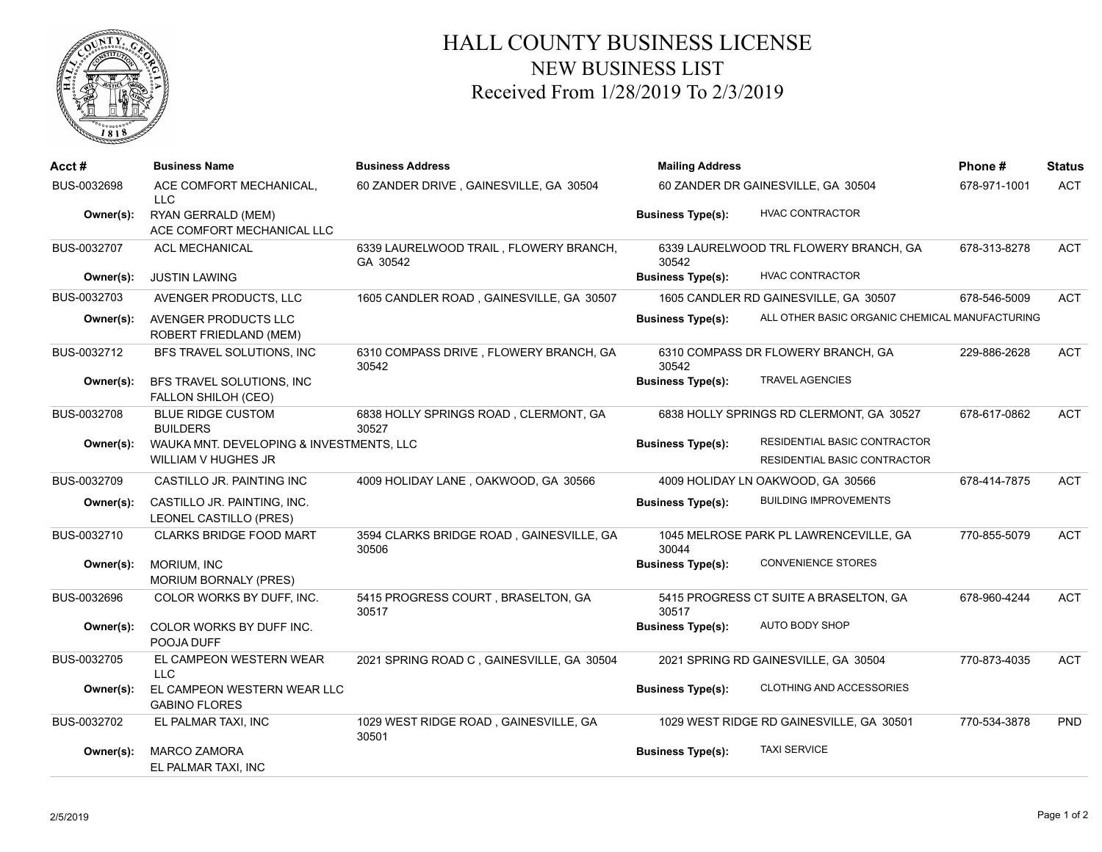

## HALL COUNTY BUSINESS LICENSE NEW BUSINESS LIST Received From 1/28/2019 To 2/3/2019

| Acct#       | <b>Business Name</b>                                                   | <b>Business Address</b>                            | <b>Mailing Address</b>             |                                                              | Phone#       | <b>Status</b> |
|-------------|------------------------------------------------------------------------|----------------------------------------------------|------------------------------------|--------------------------------------------------------------|--------------|---------------|
| BUS-0032698 | ACE COMFORT MECHANICAL,<br>LLC.                                        | 60 ZANDER DRIVE, GAINESVILLE, GA 30504             | 60 ZANDER DR GAINESVILLE, GA 30504 |                                                              | 678-971-1001 | <b>ACT</b>    |
| Owner(s):   | RYAN GERRALD (MEM)<br>ACE COMFORT MECHANICAL LLC                       |                                                    | <b>Business Type(s):</b>           | <b>HVAC CONTRACTOR</b>                                       |              |               |
| BUS-0032707 | <b>ACL MECHANICAL</b>                                                  | 6339 LAURELWOOD TRAIL, FLOWERY BRANCH,<br>GA 30542 | 30542                              | 6339 LAURELWOOD TRL FLOWERY BRANCH, GA                       | 678-313-8278 | <b>ACT</b>    |
| Owner(s):   | <b>JUSTIN LAWING</b>                                                   |                                                    | <b>Business Type(s):</b>           | <b>HVAC CONTRACTOR</b>                                       |              |               |
| BUS-0032703 | AVENGER PRODUCTS, LLC                                                  | 1605 CANDLER ROAD, GAINESVILLE, GA 30507           |                                    | 1605 CANDLER RD GAINESVILLE, GA 30507                        | 678-546-5009 | <b>ACT</b>    |
| Owner(s):   | AVENGER PRODUCTS LLC<br><b>ROBERT FRIEDLAND (MEM)</b>                  |                                                    | <b>Business Type(s):</b>           | ALL OTHER BASIC ORGANIC CHEMICAL MANUFACTURING               |              |               |
| BUS-0032712 | BFS TRAVEL SOLUTIONS, INC                                              | 6310 COMPASS DRIVE, FLOWERY BRANCH, GA<br>30542    | 30542                              | 6310 COMPASS DR FLOWERY BRANCH, GA                           | 229-886-2628 | <b>ACT</b>    |
| Owner(s):   | BFS TRAVEL SOLUTIONS, INC<br>FALLON SHILOH (CEO)                       |                                                    | <b>Business Type(s):</b>           | <b>TRAVEL AGENCIES</b>                                       |              |               |
| BUS-0032708 | <b>BLUE RIDGE CUSTOM</b><br><b>BUILDERS</b>                            | 6838 HOLLY SPRINGS ROAD, CLERMONT, GA<br>30527     |                                    | 6838 HOLLY SPRINGS RD CLERMONT, GA 30527                     | 678-617-0862 | <b>ACT</b>    |
| Owner(s):   | WAUKA MNT. DEVELOPING & INVESTMENTS, LLC<br><b>WILLIAM V HUGHES JR</b> |                                                    | <b>Business Type(s):</b>           | RESIDENTIAL BASIC CONTRACTOR<br>RESIDENTIAL BASIC CONTRACTOR |              |               |
| BUS-0032709 | CASTILLO JR. PAINTING INC                                              | 4009 HOLIDAY LANE, OAKWOOD, GA 30566               |                                    | 4009 HOLIDAY LN OAKWOOD, GA 30566                            | 678-414-7875 | <b>ACT</b>    |
| Owner(s):   | CASTILLO JR. PAINTING, INC.<br>LEONEL CASTILLO (PRES)                  |                                                    | <b>Business Type(s):</b>           | <b>BUILDING IMPROVEMENTS</b>                                 |              |               |
| BUS-0032710 | <b>CLARKS BRIDGE FOOD MART</b>                                         | 3594 CLARKS BRIDGE ROAD, GAINESVILLE, GA<br>30506  | 30044                              | 1045 MELROSE PARK PL LAWRENCEVILLE, GA                       | 770-855-5079 | <b>ACT</b>    |
| Owner(s):   | MORIUM, INC<br><b>MORIUM BORNALY (PRES)</b>                            |                                                    | <b>Business Type(s):</b>           | <b>CONVENIENCE STORES</b>                                    |              |               |
| BUS-0032696 | COLOR WORKS BY DUFF, INC.                                              | 5415 PROGRESS COURT, BRASELTON, GA<br>30517        | 30517                              | 5415 PROGRESS CT SUITE A BRASELTON, GA                       | 678-960-4244 | <b>ACT</b>    |
| Owner(s):   | COLOR WORKS BY DUFF INC.<br>POOJA DUFF                                 |                                                    | <b>Business Type(s):</b>           | AUTO BODY SHOP                                               |              |               |
| BUS-0032705 | EL CAMPEON WESTERN WEAR<br>LLC.                                        | 2021 SPRING ROAD C, GAINESVILLE, GA 30504          |                                    | 2021 SPRING RD GAINESVILLE, GA 30504                         | 770-873-4035 | <b>ACT</b>    |
| Owner(s):   | EL CAMPEON WESTERN WEAR LLC<br><b>GABINO FLORES</b>                    |                                                    | <b>Business Type(s):</b>           | <b>CLOTHING AND ACCESSORIES</b>                              |              |               |
| BUS-0032702 | EL PALMAR TAXI, INC                                                    | 1029 WEST RIDGE ROAD, GAINESVILLE, GA<br>30501     |                                    | 1029 WEST RIDGE RD GAINESVILLE, GA 30501                     | 770-534-3878 | PND           |
| Owner(s):   | <b>MARCO ZAMORA</b><br>EL PALMAR TAXI, INC                             |                                                    | <b>Business Type(s):</b>           | <b>TAXI SERVICE</b>                                          |              |               |